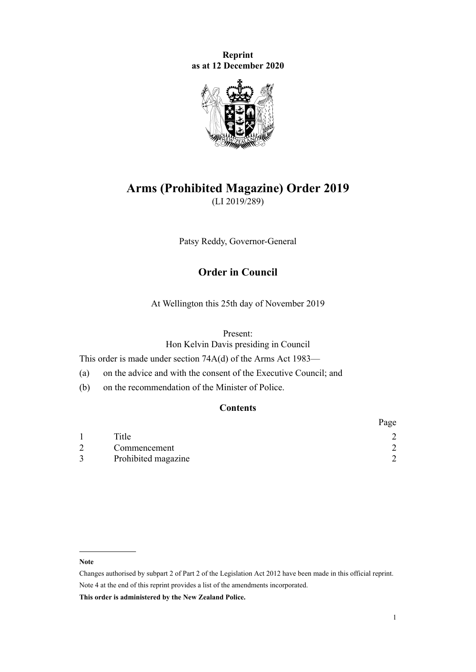**Reprint as at 12 December 2020**



# **Arms (Prohibited Magazine) Order 2019** (LI 2019/289)

Patsy Reddy, Governor-General

# **Order in Council**

At Wellington this 25th day of November 2019

#### Present:

Hon Kelvin Davis presiding in Council

This order is made under [section 74A\(d\)](http://legislation.govt.nz/pdflink.aspx?id=DLM5829962) of the [Arms Act 1983—](http://legislation.govt.nz/pdflink.aspx?id=DLM72621)

(a) on the advice and with the consent of the Executive Council; and

(b) on the recommendation of the Minister of Police.

### **Contents**

|                     | Page |
|---------------------|------|
| Title               |      |
| Commencement        |      |
| Prohibited magazine |      |

#### **Note**

**This order is administered by the New Zealand Police.**

Changes authorised by [subpart 2](http://legislation.govt.nz/pdflink.aspx?id=DLM2998524) of Part 2 of the Legislation Act 2012 have been made in this official reprint. Note 4 at the end of this reprint provides a list of the amendments incorporated.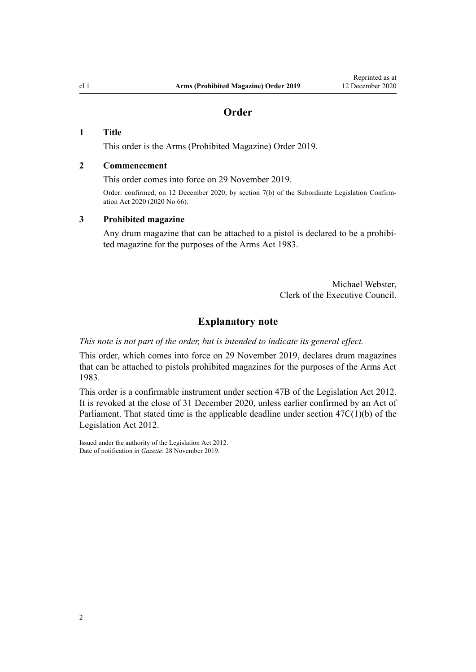# **Order**

### <span id="page-1-0"></span>**1 Title**

This order is the Arms (Prohibited Magazine) Order 2019.

#### **2 Commencement**

This order comes into force on 29 November 2019.

Order: confirmed, on 12 December 2020, by [section 7\(b\)](http://legislation.govt.nz/pdflink.aspx?id=LMS363681) of the Subordinate Legislation Confirmation Act 2020 (2020 No 66).

#### **3 Prohibited magazine**

Any drum magazine that can be attached to a pistol is declared to be a prohibited magazine for the purposes of the Arms Act 1983.

> Michael Webster, Clerk of the Executive Council.

#### **Explanatory note**

*This note is not part of the order, but is intended to indicate its general effect.*

This order, which comes into force on 29 November 2019, declares drum magazines that can be attached to pistols prohibited magazines for the purposes of the [Arms Act](http://legislation.govt.nz/pdflink.aspx?id=DLM72621) [1983](http://legislation.govt.nz/pdflink.aspx?id=DLM72621).

This order is a confirmable instrument under [section 47B](http://legislation.govt.nz/pdflink.aspx?id=DLM6705124) of the Legislation Act 2012. It is revoked at the close of 31 December 2020, unless earlier confirmed by an Act of Parliament. That stated time is the applicable deadline under section  $47C(1)(b)$  of the Legislation Act 2012.

Issued under the authority of the [Legislation Act 2012](http://legislation.govt.nz/pdflink.aspx?id=DLM2997643). Date of notification in *Gazette*: 28 November 2019.